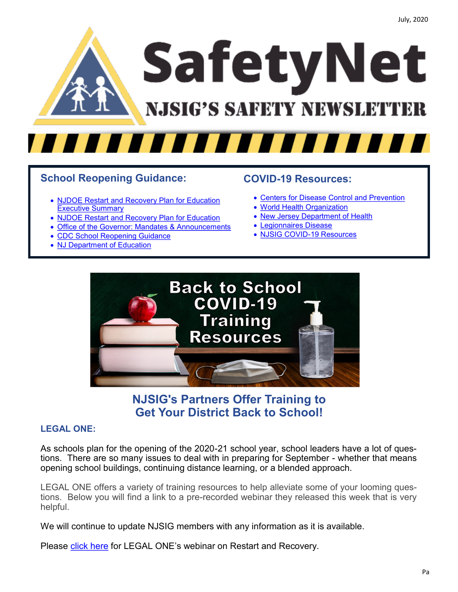

### **School Reopening Guidance:**

- [NJDOE Restart and Recovery Plan for Education](https://files.constantcontact.com/b71f74b1101/f2d8e258-2fea-4e5a-8be6-c20cbc263b30.pdf)  [Executive Summary](https://files.constantcontact.com/b71f74b1101/f2d8e258-2fea-4e5a-8be6-c20cbc263b30.pdf)
- [NJDOE Restart and Recovery Plan for Education](https://files.constantcontact.com/b71f74b1101/da5fdde1-9a8b-4cf8-bcc0-f2636278dcba.pdf)
- [Office of the Governor: Mandates & Announcements](https://nj.gov/governor/news/news/562020/approved/news_archive.shtml)
- [CDC School Reopening Guidance](https://www.cdc.gov/coronavirus/2019-ncov/php/building-water-system.html)
- [NJ Department of Education](https://www.nj.gov/education/covid19/)

### **COVID-19 Resources:**

- [Centers for Disease Control and Prevention](https://www.cdc.gov/coronavirus/2019-ncov/index.html)
- [World Health Organization](https://www.who.int/emergencies/diseases/novel-coronavirus-2019)
- [New Jersey Department of Health](https://www.nj.gov/health/cd/topics/covid2019_schools.shtml)
- [Legionnaires Disease](https://files.constantcontact.com/b71f74b1101/f4a89c01-654b-46f7-9b6d-ba6c2ed30d8b.pdf)
- [NJSIG COVID](https://www.njsig.org/covid-19)-19 Resources



# **NJSIG's Partners Offer Training to Get Your District Back to School!**

#### **LEGAL ONE:**

As schools plan for the opening of the 2020-21 school year, school leaders have a lot of questions. There are so many issues to deal with in preparing for September - whether that means opening school buildings, continuing distance learning, or a blended approach.

LEGAL ONE offers a variety of training resources to help alleviate some of your looming questions. Below you will find a link to a pre-recorded webinar they released this week that is very helpful.

We will continue to update NJSIG members with any information as it is available.

Please [click here](https://www.youtube.com/watch?v=NOtrsFj6oCU&feature=youtu.be) for LEGAL ONE's webinar on Restart and Recovery.